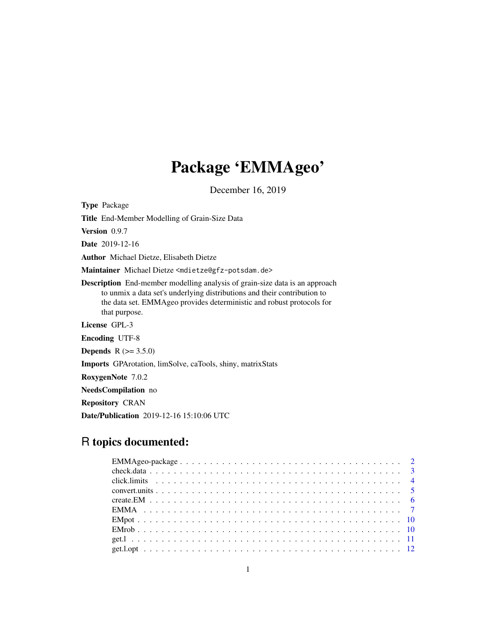# Package 'EMMAgeo'

December 16, 2019

<span id="page-0-0"></span>Type Package Title End-Member Modelling of Grain-Size Data Version 0.9.7 Date 2019-12-16 Author Michael Dietze, Elisabeth Dietze Maintainer Michael Dietze <mdietze@gfz-potsdam.de> Description End-member modelling analysis of grain-size data is an approach to unmix a data set's underlying distributions and their contribution to the data set. EMMAgeo provides deterministic and robust protocols for that purpose. License GPL-3 Encoding UTF-8 **Depends** R  $(>= 3.5.0)$ Imports GPArotation, limSolve, caTools, shiny, matrixStats RoxygenNote 7.0.2 NeedsCompilation no Repository CRAN Date/Publication 2019-12-16 15:10:06 UTC

# R topics documented: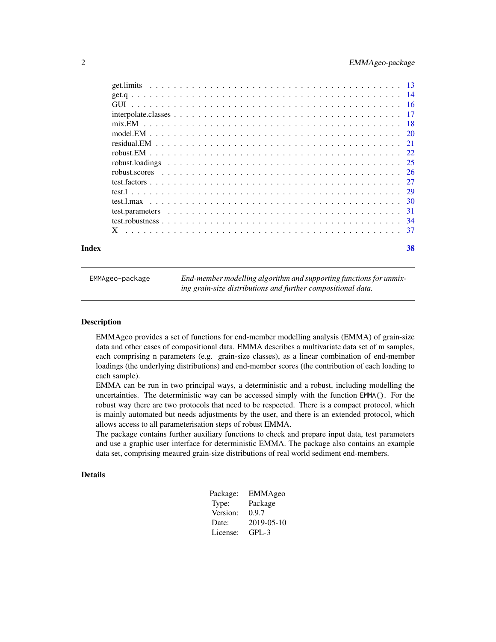<span id="page-1-0"></span>

| Index | 38 |
|-------|----|
|       |    |
|       |    |
|       |    |
|       |    |
|       |    |
|       |    |
|       |    |
|       |    |
|       |    |
|       |    |
|       |    |
|       |    |
|       |    |
|       |    |
|       |    |
|       |    |

EMMAgeo-package *End-member modelling algorithm and supporting functions for unmixing grain-size distributions and further compositional data.*

#### Description

EMMAgeo provides a set of functions for end-member modelling analysis (EMMA) of grain-size data and other cases of compositional data. EMMA describes a multivariate data set of m samples, each comprising n parameters (e.g. grain-size classes), as a linear combination of end-member loadings (the underlying distributions) and end-member scores (the contribution of each loading to each sample).

EMMA can be run in two principal ways, a deterministic and a robust, including modelling the uncertainties. The deterministic way can be accessed simply with the function EMMA(). For the robust way there are two protocols that need to be respected. There is a compact protocol, which is mainly automated but needs adjustments by the user, and there is an extended protocol, which allows access to all parameterisation steps of robust EMMA.

The package contains further auxiliary functions to check and prepare input data, test parameters and use a graphic user interface for deterministic EMMA. The package also contains an example data set, comprising meaured grain-size distributions of real world sediment end-members.

#### Details

| Package: | EMMAgeo    |
|----------|------------|
| Type:    | Package    |
| Version: | 0.9.7      |
| Date:    | 2019-05-10 |
| License: | $GPI - 3$  |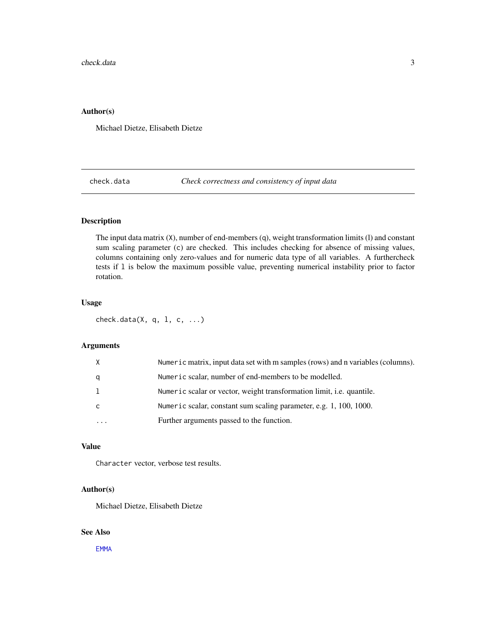# <span id="page-2-0"></span>Author(s)

Michael Dietze, Elisabeth Dietze

<span id="page-2-1"></span>check.data *Check correctness and consistency of input data*

# Description

The input data matrix (X), number of end-members (q), weight transformation limits (l) and constant sum scaling parameter (c) are checked. This includes checking for absence of missing values, columns containing only zero-values and for numeric data type of all variables. A furthercheck tests if l is below the maximum possible value, preventing numerical instability prior to factor rotation.

# Usage

check.data(X, q, l, c, ...)

# Arguments

|   | Numeric matrix, input data set with m samples (rows) and n variables (columns). |
|---|---------------------------------------------------------------------------------|
| a | Numeric scalar, number of end-members to be modelled.                           |
|   | Numeric scalar or vector, weight transformation limit, <i>i.e.</i> quantile.    |
|   | Numeric scalar, constant sum scaling parameter, e.g. 1, 100, 1000.              |
| . | Further arguments passed to the function.                                       |
|   |                                                                                 |

# Value

Character vector, verbose test results.

### Author(s)

Michael Dietze, Elisabeth Dietze

#### See Also

[EMMA](#page-6-1)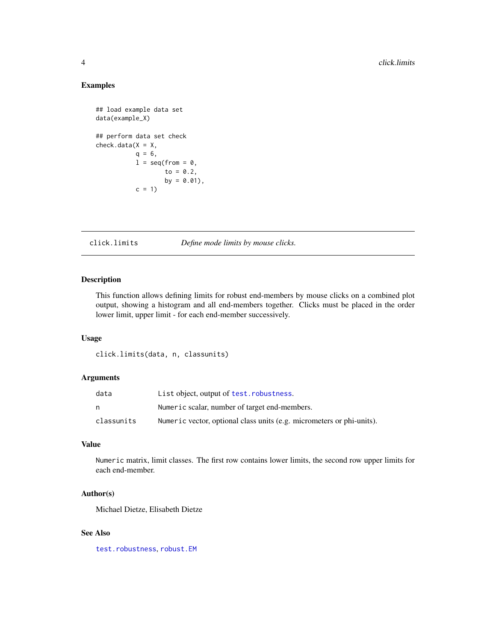# <span id="page-3-0"></span>Examples

```
## load example data set
data(example_X)
## perform data set check
check.data(X = X,q = 6,
          l = seq(from = 0,to = 0.2,
                  by = 0.01,
          c = 1
```
click.limits *Define mode limits by mouse clicks.*

# Description

This function allows defining limits for robust end-members by mouse clicks on a combined plot output, showing a histogram and all end-members together. Clicks must be placed in the order lower limit, upper limit - for each end-member successively.

# Usage

click.limits(data, n, classunits)

#### Arguments

| data       | List object, output of test. robustness.                              |
|------------|-----------------------------------------------------------------------|
| n          | Numeric scalar, number of target end-members.                         |
| classunits | Numeric vector, optional class units (e.g. micrometers or phi-units). |

# Value

Numeric matrix, limit classes. The first row contains lower limits, the second row upper limits for each end-member.

#### Author(s)

Michael Dietze, Elisabeth Dietze

#### See Also

[test.robustness](#page-33-1), [robust.EM](#page-21-1)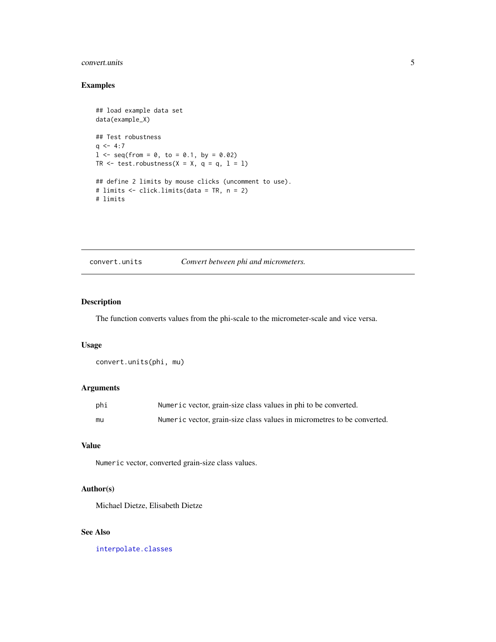# <span id="page-4-0"></span>convert.units 5

# Examples

```
## load example data set
data(example_X)
## Test robustness
q \le -4:71 \leq - seq(from = 0, to = 0.1, by = 0.02)
TR \le test.robustness(X = X, q = q, 1 = 1)
## define 2 limits by mouse clicks (uncomment to use).
# limits <- click.limits(data = TR, n = 2)
# limits
```
convert.units *Convert between phi and micrometers.*

#### Description

The function converts values from the phi-scale to the micrometer-scale and vice versa.

#### Usage

```
convert.units(phi, mu)
```
# Arguments

| phi | Numeric vector, grain-size class values in phi to be converted.         |
|-----|-------------------------------------------------------------------------|
| mu  | Numeric vector, grain-size class values in micrometres to be converted. |

# Value

Numeric vector, converted grain-size class values.

### Author(s)

Michael Dietze, Elisabeth Dietze

# See Also

[interpolate.classes](#page-16-1)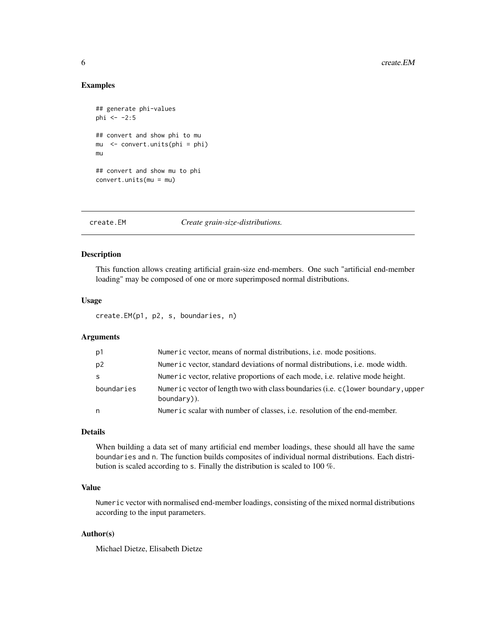#### Examples

```
## generate phi-values
phi < -2:5## convert and show phi to mu
mu <- convert.units(phi = phi)
mu
## convert and show mu to phi
convert.units(mu = mu)
```
<span id="page-5-1"></span>create.EM *Create grain-size-distributions.*

# Description

This function allows creating artificial grain-size end-members. One such "artificial end-member loading" may be composed of one or more superimposed normal distributions.

# Usage

create.EM(p1, p2, s, boundaries, n)

# Arguments

| p1             | Numeric vector, means of normal distributions, <i>i.e.</i> mode positions.                       |
|----------------|--------------------------------------------------------------------------------------------------|
| p <sub>2</sub> | Numeric vector, standard deviations of normal distributions, <i>i.e.</i> mode width.             |
| -S             | Numeric vector, relative proportions of each mode, <i>i.e.</i> relative mode height.             |
| boundaries     | Numeric vector of length two with class boundaries (i.e. c (lower boundary, upper<br>boundary)). |
| n              | Numeric scalar with number of classes, <i>i.e.</i> resolution of the end-member.                 |

# Details

When building a data set of many artificial end member loadings, these should all have the same boundaries and n. The function builds composites of individual normal distributions. Each distribution is scaled according to s. Finally the distribution is scaled to 100 %.

# Value

Numeric vector with normalised end-member loadings, consisting of the mixed normal distributions according to the input parameters.

# Author(s)

Michael Dietze, Elisabeth Dietze

<span id="page-5-0"></span>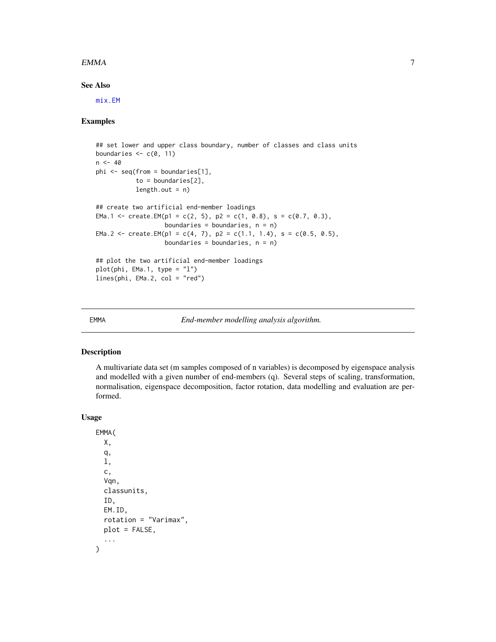#### <span id="page-6-0"></span> $EMMA$  7

# See Also

[mix.EM](#page-17-1)

## Examples

```
## set lower and upper class boundary, number of classes and class units
boundaries \leq c(0, 11)n < -40phi <- seq(from = boundaries[1],
           to = boundaries[2],
           length.out = n)## create two artificial end-member loadings
EMa.1 <- create.EM(p1 = c(2, 5), p2 = c(1, 0.8), s = c(0.7, 0.3),
                   boundaries = boundaries, n = n)
EMa.2 <- create.EM(p1 = c(4, 7), p2 = c(1.1, 1.4), s = c(0.5, 0.5),
                   boundaries = boundaries, n = n)
## plot the two artificial end-member loadings
plot(phi, EMa.1, type = "l")
lines(phi, EMa.2, col = "red")
```
<span id="page-6-1"></span>EMMA *End-member modelling analysis algorithm.*

# Description

A multivariate data set (m samples composed of n variables) is decomposed by eigenspace analysis and modelled with a given number of end-members (q). Several steps of scaling, transformation, normalisation, eigenspace decomposition, factor rotation, data modelling and evaluation are performed.

#### Usage

```
EMMA(
  X,
  q,
  l,
  c,
  Vqn,
  classunits,
  ID,
 EM.ID,
  rotation = "Varimax",
 plot = FALSE,
  ...
)
```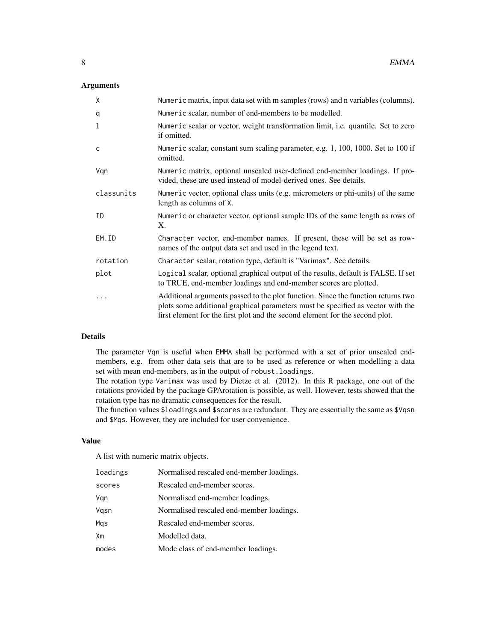# Arguments

| X            | Numeric matrix, input data set with m samples (rows) and n variables (columns).                                                                                                                                                                     |
|--------------|-----------------------------------------------------------------------------------------------------------------------------------------------------------------------------------------------------------------------------------------------------|
| q            | Numeric scalar, number of end-members to be modelled.                                                                                                                                                                                               |
| 1            | Numeric scalar or vector, weight transformation limit, i.e. quantile. Set to zero<br>if omitted.                                                                                                                                                    |
| $\mathsf{C}$ | Numeric scalar, constant sum scaling parameter, e.g. 1, 100, 1000. Set to 100 if<br>omitted.                                                                                                                                                        |
| Vgn          | Numeric matrix, optional unscaled user-defined end-member loadings. If pro-<br>vided, these are used instead of model-derived ones. See details.                                                                                                    |
| classunits   | Numeric vector, optional class units (e.g. micrometers or phi-units) of the same<br>length as columns of X.                                                                                                                                         |
| ΙD           | Numeric or character vector, optional sample IDs of the same length as rows of<br>Χ.                                                                                                                                                                |
| EM.ID        | Character vector, end-member names. If present, these will be set as row-<br>names of the output data set and used in the legend text.                                                                                                              |
| rotation     | Character scalar, rotation type, default is "Varimax". See details.                                                                                                                                                                                 |
| plot         | Logical scalar, optional graphical output of the results, default is FALSE. If set<br>to TRUE, end-member loadings and end-member scores are plotted.                                                                                               |
| .            | Additional arguments passed to the plot function. Since the function returns two<br>plots some additional graphical parameters must be specified as vector with the<br>first element for the first plot and the second element for the second plot. |

# Details

The parameter Vqn is useful when EMMA shall be performed with a set of prior unscaled endmembers, e.g. from other data sets that are to be used as reference or when modelling a data set with mean end-members, as in the output of robust.loadings.

The rotation type Varimax was used by Dietze et al. (2012). In this R package, one out of the rotations provided by the package GPArotation is possible, as well. However, tests showed that the rotation type has no dramatic consequences for the result.

The function values \$loadings and \$scores are redundant. They are essentially the same as \$Vqsn and \$Mqs. However, they are included for user convenience.

# Value

A list with numeric matrix objects.

| loadings | Normalised rescaled end-member loadings. |
|----------|------------------------------------------|
| scores   | Rescaled end-member scores.              |
| Vqn      | Normalised end-member loadings.          |
| Vqsn     | Normalised rescaled end-member loadings. |
| Mas      | Rescaled end-member scores.              |
| Хm       | Modelled data.                           |
| modes    | Mode class of end-member loadings.       |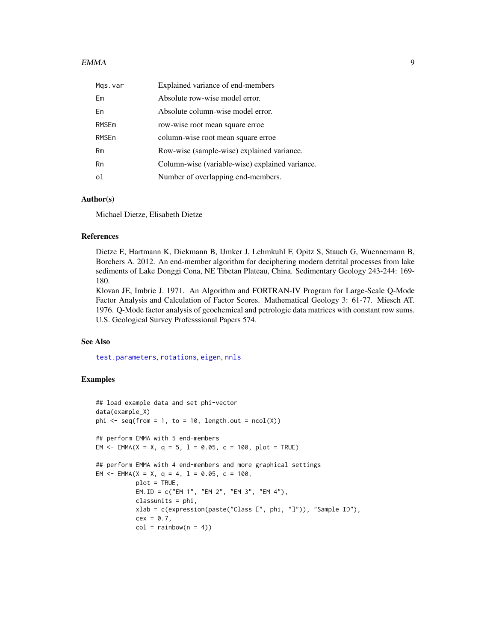#### <span id="page-8-0"></span> $EMMA$  9

| Mgs.var | Explained variance of end-members               |
|---------|-------------------------------------------------|
| Em      | Absolute row-wise model error.                  |
| En      | Absolute column-wise model error.               |
| RMSEm   | row-wise root mean square erroe.                |
| RMSEn   | column-wise root mean square erroe              |
| Rm      | Row-wise (sample-wise) explained variance.      |
| Rn      | Column-wise (variable-wise) explained variance. |
| οl      | Number of overlapping end-members.              |

## Author(s)

Michael Dietze, Elisabeth Dietze

# References

Dietze E, Hartmann K, Diekmann B, IJmker J, Lehmkuhl F, Opitz S, Stauch G, Wuennemann B, Borchers A. 2012. An end-member algorithm for deciphering modern detrital processes from lake sediments of Lake Donggi Cona, NE Tibetan Plateau, China. Sedimentary Geology 243-244: 169- 180.

Klovan JE, Imbrie J. 1971. An Algorithm and FORTRAN-IV Program for Large-Scale Q-Mode Factor Analysis and Calculation of Factor Scores. Mathematical Geology 3: 61-77. Miesch AT. 1976. Q-Mode factor analysis of geochemical and petrologic data matrices with constant row sums. U.S. Geological Survey Professsional Papers 574.

# See Also

[test.parameters](#page-30-1), [rotations](#page-0-0), [eigen](#page-0-0), [nnls](#page-0-0)

```
## load example data and set phi-vector
data(example_X)
phi \leq seq(from = 1, to = 10, length.out = ncol(X))
## perform EMMA with 5 end-members
EM \le = EMMA(X = X, q = 5, 1 = 0.05, c = 100, plot = TRUE)
## perform EMMA with 4 end-members and more graphical settings
EM <- EMMA(X = X, q = 4, 1 = 0.05, c = 100,
           plot = TRUE,
           EM.ID = c("EM 1", "EM 2", "EM 3", "EM 4"),
           classunits = phi,
           xlab = c(expression(paste("Class [", phi, "]")), "Sample ID"),
           cex = 0.7,
           col = rainbow(n = 4)
```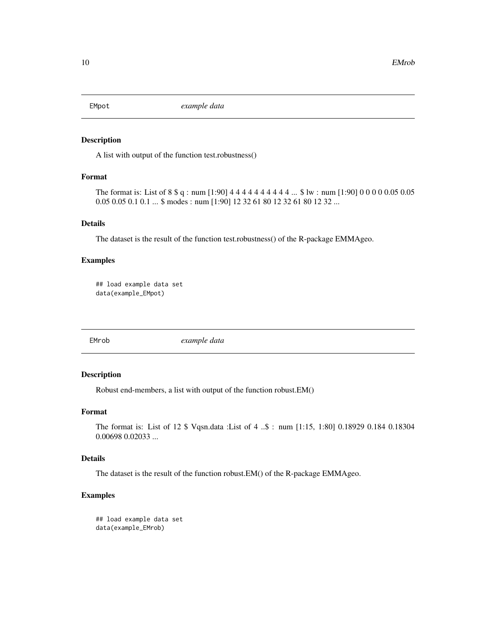<span id="page-9-0"></span>

A list with output of the function test.robustness()

# Format

The format is: List of 8 \$ q : num [1:90] 4 4 4 4 4 4 4 4 4 4 4... \$ lw : num [1:90] 0 0 0 0 0.05 0.05 0.05 0.05 0.1 0.1 ... \$ modes : num [1:90] 12 32 61 80 12 32 61 80 12 32 ...

# Details

The dataset is the result of the function test.robustness() of the R-package EMMAgeo.

#### Examples

```
## load example data set
data(example_EMpot)
```
EMrob *example data*

# Description

Robust end-members, a list with output of the function robust.EM()

#### Format

The format is: List of 12 \$ Vqsn.data :List of 4 ..\$ : num [1:15, 1:80] 0.18929 0.184 0.18304 0.00698 0.02033 ...

#### Details

The dataset is the result of the function robust.EM() of the R-package EMMAgeo.

```
## load example data set
data(example_EMrob)
```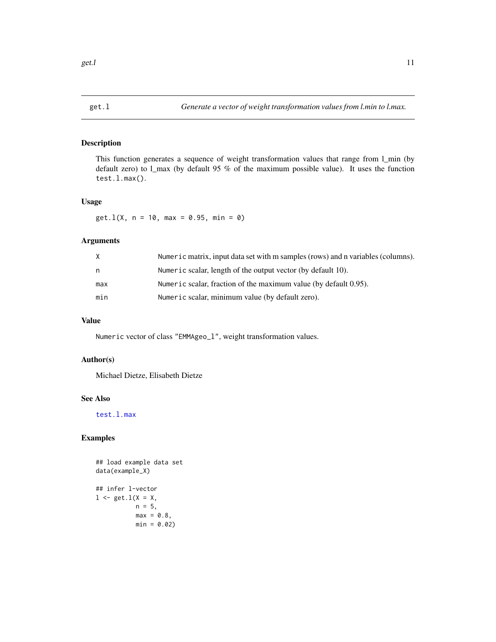<span id="page-10-0"></span>

This function generates a sequence of weight transformation values that range from l\_min (by default zero) to l\_max (by default 95 % of the maximum possible value). It uses the function test.l.max().

# Usage

 $get.l(X, n = 10, max = 0.95, min = 0)$ 

# Arguments

| X   | Numeric matrix, input data set with m samples (rows) and n variables (columns). |
|-----|---------------------------------------------------------------------------------|
| n   | Numeric scalar, length of the output vector (by default 10).                    |
| max | Numeric scalar, fraction of the maximum value (by default 0.95).                |
| min | Numeric scalar, minimum value (by default zero).                                |

# Value

Numeric vector of class "EMMAgeo\_l", weight transformation values.

## Author(s)

Michael Dietze, Elisabeth Dietze

# See Also

[test.l.max](#page-29-1)

```
## load example data set
data(example_X)
## infer l-vector
1 \leq - get. 1(X = X,n = 5,
           max = 0.8,
           min = 0.02)
```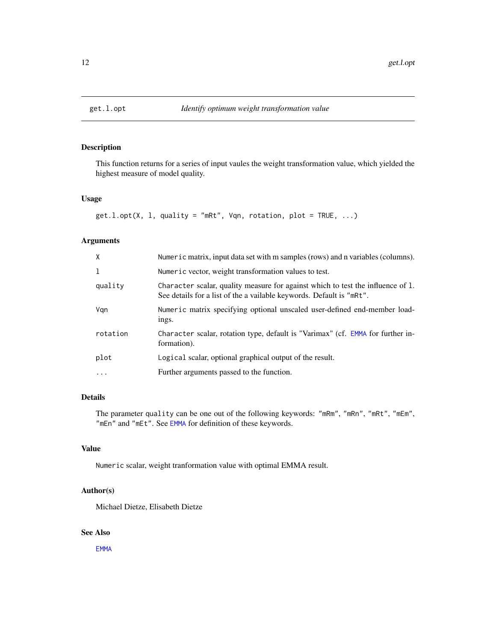<span id="page-11-0"></span>

This function returns for a series of input vaules the weight transformation value, which yielded the highest measure of model quality.

#### Usage

 $get.l.opt(X, 1, quality = "mRt", Vqn, rotation, plot = TRUE, ...)$ 

# Arguments

| $\mathsf{X}$ | Numeric matrix, input data set with m samples (rows) and n variables (columns).                                                                         |
|--------------|---------------------------------------------------------------------------------------------------------------------------------------------------------|
| 1            | Numeric vector, weight transformation values to test.                                                                                                   |
| quality      | Character scalar, quality measure for against which to test the influence of 1.<br>See details for a list of the a vailable keywords. Default is "mRt". |
| Vgn          | Numeric matrix specifying optional unscaled user-defined end-member load-<br>ings.                                                                      |
| rotation     | Character scalar, rotation type, default is "Varimax" (cf. EMMA for further in-<br>formation).                                                          |
| plot         | Logical scalar, optional graphical output of the result.                                                                                                |
| .            | Further arguments passed to the function.                                                                                                               |
|              |                                                                                                                                                         |

# Details

The parameter quality can be one out of the following keywords: "mRm", "mRn", "mRt", "mEm", "mEn" and "mEt". See [EMMA](#page-6-1) for definition of these keywords.

# Value

Numeric scalar, weight tranformation value with optimal EMMA result.

# Author(s)

Michael Dietze, Elisabeth Dietze

#### See Also

[EMMA](#page-6-1)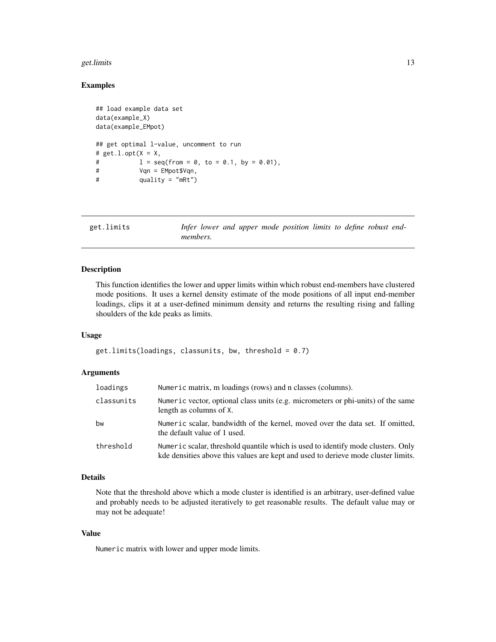#### <span id="page-12-0"></span>get.limits 13

# Examples

```
## load example data set
data(example_X)
data(example_EMpot)
## get optimal l-value, uncomment to run
# get.l.opt(X = X,# l = \text{seq}(\text{from} = 0, \text{to} = 0.1, \text{by} = 0.01),# Vqn = EMpot$Vqn,
# quality = "mRt")
```
get.limits *Infer lower and upper mode position limits to define robust endmembers.*

#### Description

This function identifies the lower and upper limits within which robust end-members have clustered mode positions. It uses a kernel density estimate of the mode positions of all input end-member loadings, clips it at a user-defined minimum density and returns the resulting rising and falling shoulders of the kde peaks as limits.

#### Usage

 $get.limits(loadings, classunits, bw, threshold = 0.7)$ 

#### Arguments

| loadings   | Numeric matrix, m loadings (rows) and n classes (columns).                                                                                                            |
|------------|-----------------------------------------------------------------------------------------------------------------------------------------------------------------------|
| classunits | Numeric vector, optional class units (e.g. micrometers or phi-units) of the same<br>length as columns of X.                                                           |
| bw         | Numeric scalar, bandwidth of the kernel, moved over the data set. If omitted,<br>the default value of 1 used.                                                         |
| threshold  | Numeric scalar, threshold quantile which is used to identify mode clusters. Only<br>kde densities above this values are kept and used to derieve mode cluster limits. |

#### Details

Note that the threshold above which a mode cluster is identified is an arbitrary, user-defined value and probably needs to be adjusted iteratively to get reasonable results. The default value may or may not be adequate!

#### Value

Numeric matrix with lower and upper mode limits.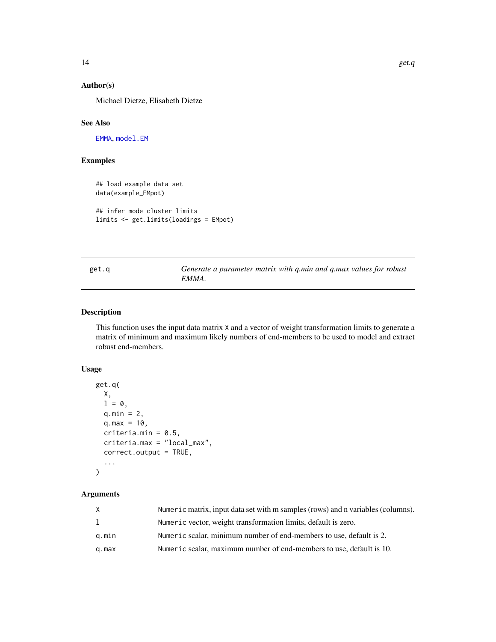# <span id="page-13-0"></span>Author(s)

Michael Dietze, Elisabeth Dietze

# See Also

[EMMA](#page-6-1), [model.EM](#page-19-1)

# Examples

## load example data set data(example\_EMpot)

```
## infer mode cluster limits
limits <- get.limits(loadings = EMpot)
```

| get.q | Generate a parameter matrix with q.min and q.max values for robust |  |  |  |
|-------|--------------------------------------------------------------------|--|--|--|
|       | EMMA.                                                              |  |  |  |

# Description

This function uses the input data matrix X and a vector of weight transformation limits to generate a matrix of minimum and maximum likely numbers of end-members to be used to model and extract robust end-members.

#### Usage

```
get.q(
 X,
 1 = 0,
 q.min = 2,
 q.max = 10,criteria.min = 0.5,
  criteria.max = "local_max",
 correct.output = TRUE,
  ...
)
```
# Arguments

| X     | Numeric matrix, input data set with m samples (rows) and n variables (columns). |
|-------|---------------------------------------------------------------------------------|
| 1     | Numeric vector, weight transformation limits, default is zero.                  |
| g.min | Numeric scalar, minimum number of end-members to use, default is 2.             |
| q.max | Numeric scalar, maximum number of end-members to use, default is 10.            |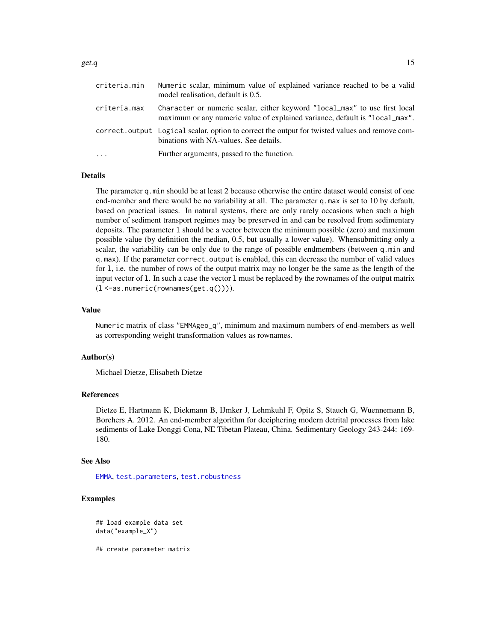<span id="page-14-0"></span>

| criteria.min | Numeric scalar, minimum value of explained variance reached to be a valid<br>model realisation, default is 0.5.                                           |
|--------------|-----------------------------------------------------------------------------------------------------------------------------------------------------------|
| criteria.max | Character or numeric scalar, either keyword "local_max" to use first local<br>maximum or any numeric value of explained variance, default is "local_max". |
|              | correct. output Logical scalar, option to correct the output for twisted values and remove com-<br>binations with NA-values. See details.                 |
|              | Further arguments, passed to the function.                                                                                                                |

#### Details

The parameter q.min should be at least 2 because otherwise the entire dataset would consist of one end-member and there would be no variability at all. The parameter q.max is set to 10 by default, based on practical issues. In natural systems, there are only rarely occasions when such a high number of sediment transport regimes may be preserved in and can be resolved from sedimentary deposits. The parameter l should be a vector between the minimum possible (zero) and maximum possible value (by definition the median, 0.5, but usually a lower value). Whensubmitting only a scalar, the variability can be only due to the range of possible endmembers (between q.min and q.max). If the parameter correct.output is enabled, this can decrease the number of valid values for l, i.e. the number of rows of the output matrix may no longer be the same as the length of the input vector of l. In such a case the vector l must be replaced by the rownames of the output matrix  $(1 < -as.numeric(rownames(get.q))))$ .

#### Value

Numeric matrix of class "EMMAgeo\_q", minimum and maximum numbers of end-members as well as corresponding weight transformation values as rownames.

#### Author(s)

Michael Dietze, Elisabeth Dietze

#### References

Dietze E, Hartmann K, Diekmann B, IJmker J, Lehmkuhl F, Opitz S, Stauch G, Wuennemann B, Borchers A. 2012. An end-member algorithm for deciphering modern detrital processes from lake sediments of Lake Donggi Cona, NE Tibetan Plateau, China. Sedimentary Geology 243-244: 169- 180.

#### See Also

[EMMA](#page-6-1), [test.parameters](#page-30-1), [test.robustness](#page-33-1)

# Examples

```
## load example data set
data("example_X")
```
## create parameter matrix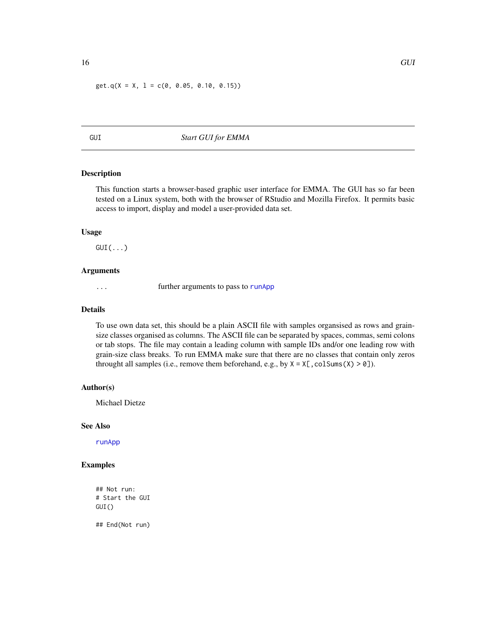<span id="page-15-0"></span> $get.q(X = X, 1 = c(0, 0.05, 0.10, 0.15))$ 

GUI *Start GUI for EMMA*

# Description

This function starts a browser-based graphic user interface for EMMA. The GUI has so far been tested on a Linux system, both with the browser of RStudio and Mozilla Firefox. It permits basic access to import, display and model a user-provided data set.

# Usage

 $GUI(...)$ 

#### Arguments

... **further arguments to pass to [runApp](#page-0-0)** 

#### Details

To use own data set, this should be a plain ASCII file with samples organsised as rows and grainsize classes organised as columns. The ASCII file can be separated by spaces, commas, semi colons or tab stops. The file may contain a leading column with sample IDs and/or one leading row with grain-size class breaks. To run EMMA make sure that there are no classes that contain only zeros throught all samples (i.e., remove them beforehand, e.g., by  $X = X[$ , colSums(X) > 0]).

#### Author(s)

Michael Dietze

#### See Also

[runApp](#page-0-0)

# Examples

```
## Not run:
# Start the GUI
GUI()
```
## End(Not run)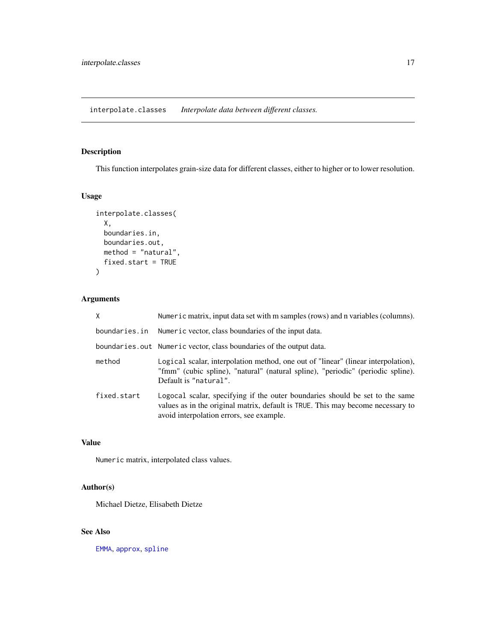<span id="page-16-1"></span><span id="page-16-0"></span>interpolate.classes *Interpolate data between different classes.*

# Description

This function interpolates grain-size data for different classes, either to higher or to lower resolution.

# Usage

```
interpolate.classes(
 X,
 boundaries.in,
 boundaries.out,
 method = "natural",
 fixed.start = TRUE
)
```
# Arguments

| X             | Numeric matrix, input data set with m samples (rows) and n variables (columns).                                                                                                                             |
|---------------|-------------------------------------------------------------------------------------------------------------------------------------------------------------------------------------------------------------|
| boundaries.in | Numeric vector, class boundaries of the input data.                                                                                                                                                         |
|               | boundaries.out Numeric vector, class boundaries of the output data.                                                                                                                                         |
| method        | Logical scalar, interpolation method, one out of "linear" (linear interpolation),<br>"fmm" (cubic spline), "natural" (natural spline), "periodic" (periodic spline).<br>Default is "natural".               |
| fixed.start   | Logocal scalar, specifying if the outer boundaries should be set to the same<br>values as in the original matrix, default is TRUE. This may become necessary to<br>avoid interpolation errors, see example. |

# Value

Numeric matrix, interpolated class values.

# Author(s)

Michael Dietze, Elisabeth Dietze

# See Also

[EMMA](#page-6-1), [approx](#page-0-0), [spline](#page-0-0)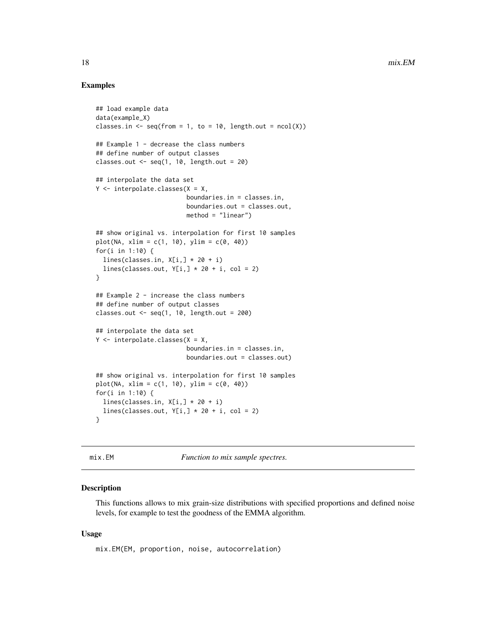# Examples

```
## load example data
data(example_X)
classes.in \leq seq(from = 1, to = 10, length.out = ncol(X))
## Example 1 - decrease the class numbers
## define number of output classes
classes.out \leq seq(1, 10, length.out = 20)
## interpolate the data set
Y \leq - interpolate.classes(X = X,
                         boundaries.in = classes.in,
                         boundaries.out = classes.out,
                         method = "linear")
## show original vs. interpolation for first 10 samples
plot(NA, xlim = c(1, 10), ylim = c(0, 40))for(i in 1:10) {
  lines(classes.in, X[i, ] * 20 + i)lines(classes.out, Y[i, ] * 20 + i, col = 2)
}
## Example 2 - increase the class numbers
## define number of output classes
classes.out <- seq(1, 10, length.out = 200)
## interpolate the data set
Y \leq - interpolate.classes(X = X,
                         boundaries.in = classes.in,
                         boundaries.out = classes.out)
## show original vs. interpolation for first 10 samples
plot(NA, xlim = c(1, 10), ylim = c(0, 40))for(i in 1:10) {
  lines(classes.in, X[i, ] * 20 + i)lines(classes.out, Y[i, ] * 20 + i, col = 2)
}
```
<span id="page-17-1"></span>

mix.EM *Function to mix sample spectres.*

#### Description

This functions allows to mix grain-size distributions with specified proportions and defined noise levels, for example to test the goodness of the EMMA algorithm.

#### Usage

mix.EM(EM, proportion, noise, autocorrelation)

<span id="page-17-0"></span>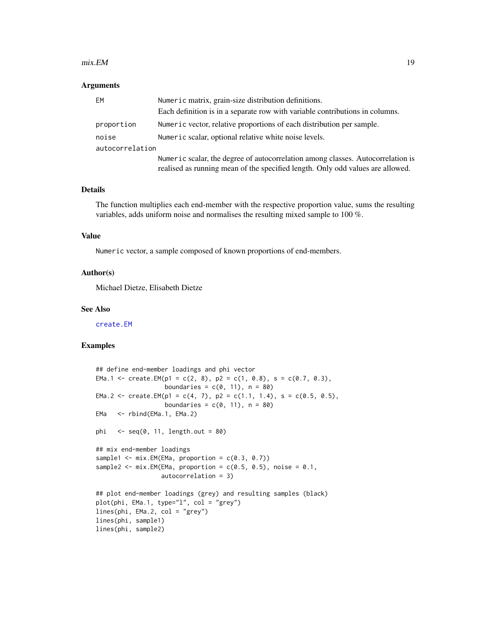#### <span id="page-18-0"></span> $mix.EM$  19

#### Arguments

| EM              | Numeric matrix, grain-size distribution definitions.                                                                                                              |
|-----------------|-------------------------------------------------------------------------------------------------------------------------------------------------------------------|
|                 | Each definition is in a separate row with variable contributions in columns.                                                                                      |
| proportion      | Numeric vector, relative proportions of each distribution per sample.                                                                                             |
| noise           | Numeric scalar, optional relative white noise levels.                                                                                                             |
| autocorrelation |                                                                                                                                                                   |
|                 | Numeric scalar, the degree of autocorrelation among classes. Autocorrelation is<br>realised as running mean of the specified length. Only odd values are allowed. |

## Details

The function multiplies each end-member with the respective proportion value, sums the resulting variables, adds uniform noise and normalises the resulting mixed sample to 100 %.

# Value

Numeric vector, a sample composed of known proportions of end-members.

#### Author(s)

Michael Dietze, Elisabeth Dietze

#### See Also

[create.EM](#page-5-1)

```
## define end-member loadings and phi vector
EMa.1 <- create.EM(p1 = c(2, 8), p2 = c(1, 0.8), s = c(0.7, 0.3),
                   boundaries = c(0, 11), n = 80)
EMa.2 <- create.EM(p1 = c(4, 7), p2 = c(1.1, 1.4), s = c(0.5, 0.5),
                  boundaries = c(0, 11), n = 80)
EMa <- rbind(EMa.1, EMa.2)
phi \leq seq(0, 11, length.out = 80)
## mix end-member loadings
sample1 \leq mix. EM(EMa, proportion = c(0.3, 0.7))
sample2 <- mix.EM(EMa, proportion = c(0.5, 0.5), noise = 0.1,
                  autocorrelation = 3)
## plot end-member loadings (grey) and resulting samples (black)
plot(phi, EMa.1, type="l", col = "grey")
lines(phi, EMa.2, col = "grey")
lines(phi, sample1)
lines(phi, sample2)
```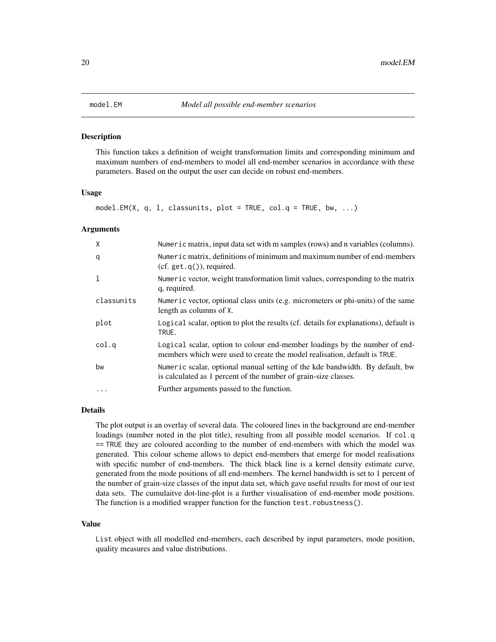<span id="page-19-1"></span><span id="page-19-0"></span>This function takes a definition of weight transformation limits and corresponding minimum and maximum numbers of end-members to model all end-member scenarios in accordance with these parameters. Based on the output the user can decide on robust end-members.

#### Usage

```
model.EM(X, q, 1, classunits, plot = TRUE, col.q = TRUE, bw, ...)
```
#### Arguments

| X            | Numeric matrix, input data set with m samples (rows) and n variables (columns).                                                                         |
|--------------|---------------------------------------------------------------------------------------------------------------------------------------------------------|
| q            | Numeric matrix, definitions of minimum and maximum number of end-members<br>$(cf. get.q())$ , required.                                                 |
| $\mathbf{1}$ | Numeric vector, weight transformation limit values, corresponding to the matrix<br>q, required.                                                         |
| classunits   | Numeric vector, optional class units (e.g. micrometers or phi-units) of the same<br>length as columns of X.                                             |
| plot         | Logical scalar, option to plot the results (cf. details for explanations), default is<br>TRUE.                                                          |
| col.q        | Logical scalar, option to colour end-member loadings by the number of end-<br>members which were used to create the model realisation, default is TRUE. |
| bw           | Numeric scalar, optional manual setting of the kde bandwidth. By default, bw<br>is calculated as 1 percent of the number of grain-size classes.         |
| $\cdots$     | Further arguments passed to the function.                                                                                                               |

# Details

The plot output is an overlay of several data. The coloured lines in the background are end-member loadings (number noted in the plot title), resulting from all possible model scenarios. If col.q == TRUE they are coloured according to the number of end-members with which the model was generated. This colour scheme allows to depict end-members that emerge for model realisations with specific number of end-members. The thick black line is a kernel density estimate curve, generated from the mode positions of all end-members. The kernel bandwidth is set to 1 percent of the number of grain-size classes of the input data set, which gave useful results for most of our test data sets. The cumulaitve dot-line-plot is a further visualisation of end-member mode positions. The function is a modified wrapper function for the function test.robustness().

#### Value

List object with all modelled end-members, each described by input parameters, mode position, quality measures and value distributions.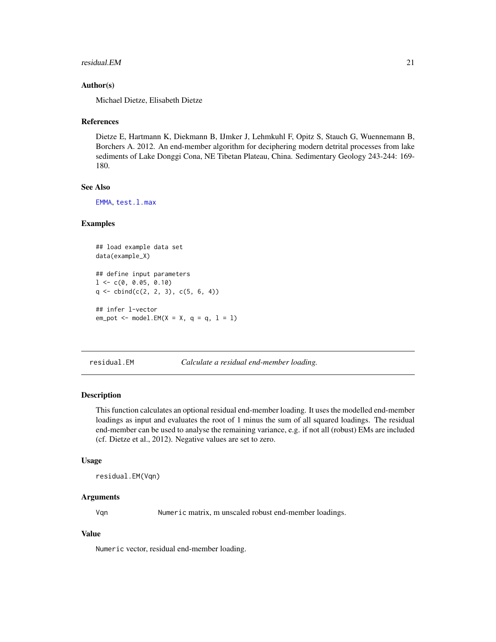#### <span id="page-20-0"></span>residual.EM 21

# Author(s)

Michael Dietze, Elisabeth Dietze

#### References

Dietze E, Hartmann K, Diekmann B, IJmker J, Lehmkuhl F, Opitz S, Stauch G, Wuennemann B, Borchers A. 2012. An end-member algorithm for deciphering modern detrital processes from lake sediments of Lake Donggi Cona, NE Tibetan Plateau, China. Sedimentary Geology 243-244: 169- 180.

# See Also

[EMMA](#page-6-1), [test.l.max](#page-29-1)

#### Examples

```
## load example data set
data(example_X)
## define input parameters
1 \leq -c(0, 0.05, 0.10)q \leftarrow \text{cbind}(c(2, 2, 3), c(5, 6, 4))## infer l-vector
em\_pot \leq m model.EM(X = X, q = q, 1 = 1)
```
residual.EM *Calculate a residual end-member loading.*

#### Description

This function calculates an optional residual end-member loading. It uses the modelled end-member loadings as input and evaluates the root of 1 minus the sum of all squared loadings. The residual end-member can be used to analyse the remaining variance, e.g. if not all (robust) EMs are included (cf. Dietze et al., 2012). Negative values are set to zero.

#### Usage

residual.EM(Vqn)

#### Arguments

Vqn Numeric matrix, m unscaled robust end-member loadings.

#### Value

Numeric vector, residual end-member loading.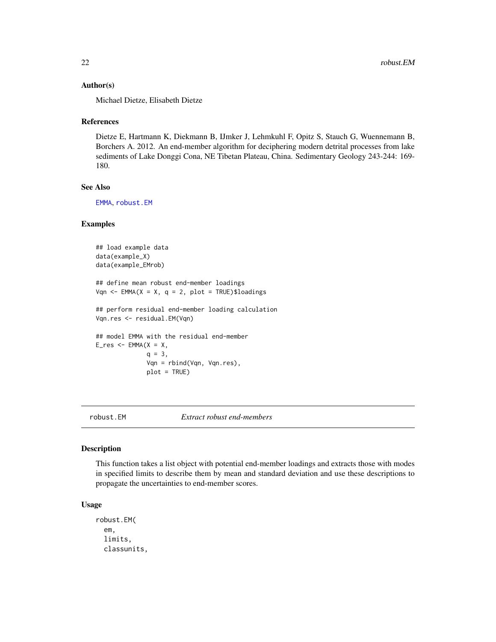#### <span id="page-21-0"></span>Author(s)

Michael Dietze, Elisabeth Dietze

#### References

Dietze E, Hartmann K, Diekmann B, IJmker J, Lehmkuhl F, Opitz S, Stauch G, Wuennemann B, Borchers A. 2012. An end-member algorithm for deciphering modern detrital processes from lake sediments of Lake Donggi Cona, NE Tibetan Plateau, China. Sedimentary Geology 243-244: 169- 180.

# See Also

[EMMA](#page-6-1), [robust.EM](#page-21-1)

#### Examples

```
## load example data
data(example_X)
data(example_EMrob)
## define mean robust end-member loadings
Vqn <- EMMA(X = X, q = 2, plot = TRUE)\loadings
## perform residual end-member loading calculation
Vqn.res <- residual.EM(Vqn)
## model EMMA with the residual end-member
E_{res} <- EMMA(X = X,q = 3,
              Vqn = rbind(Vqn, Vqn.res),
              plot = TRUE)
```
<span id="page-21-1"></span>

robust.EM *Extract robust end-members*

#### Description

This function takes a list object with potential end-member loadings and extracts those with modes in specified limits to describe them by mean and standard deviation and use these descriptions to propagate the uncertainties to end-member scores.

#### Usage

robust.EM( em, limits, classunits,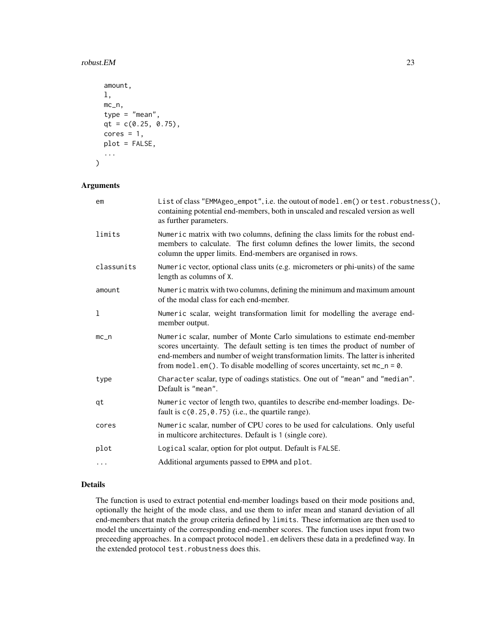#### $r_{\rm{c}}$  robust. EM 23

```
amount,
l,
mc_n,
type = "mean",
qt = c(0.25, 0.75),
cores = 1,plot = FALSE,
...
```
#### Arguments

)

| em         | List of class "EMMAgeo_empot", i.e. the outout of model.em() or test.robustness(),<br>containing potential end-members, both in unscaled and rescaled version as well<br>as further parameters.                                                                                                                               |
|------------|-------------------------------------------------------------------------------------------------------------------------------------------------------------------------------------------------------------------------------------------------------------------------------------------------------------------------------|
| limits     | Numeric matrix with two columns, defining the class limits for the robust end-<br>members to calculate. The first column defines the lower limits, the second<br>column the upper limits. End-members are organised in rows.                                                                                                  |
| classunits | Numeric vector, optional class units (e.g. micrometers or phi-units) of the same<br>length as columns of X.                                                                                                                                                                                                                   |
| amount     | Numeric matrix with two columns, defining the minimum and maximum amount<br>of the modal class for each end-member.                                                                                                                                                                                                           |
| 1          | Numeric scalar, weight transformation limit for modelling the average end-<br>member output.                                                                                                                                                                                                                                  |
| $mc_{n}$   | Numeric scalar, number of Monte Carlo simulations to estimate end-member<br>scores uncertainty. The default setting is ten times the product of number of<br>end-members and number of weight transformation limits. The latter is inherited<br>from model.em(). To disable modelling of scores uncertainty, set $mc_n = 0$ . |
| type       | Character scalar, type of oadings statistics. One out of "mean" and "median".<br>Default is "mean".                                                                                                                                                                                                                           |
| qt         | Numeric vector of length two, quantiles to describe end-member loadings. De-<br>fault is $c(0.25, 0.75)$ (i.e., the quartile range).                                                                                                                                                                                          |
| cores      | Numeric scalar, number of CPU cores to be used for calculations. Only useful<br>in multicore architectures. Default is 1 (single core).                                                                                                                                                                                       |
| plot       | Logical scalar, option for plot output. Default is FALSE.                                                                                                                                                                                                                                                                     |
| .          | Additional arguments passed to EMMA and plot.                                                                                                                                                                                                                                                                                 |
|            |                                                                                                                                                                                                                                                                                                                               |

# Details

The function is used to extract potential end-member loadings based on their mode positions and, optionally the height of the mode class, and use them to infer mean and stanard deviation of all end-members that match the group criteria defined by limits. These information are then used to model the uncertainty of the corresponding end-member scores. The function uses input from two preceeding approaches. In a compact protocol model. em delivers these data in a predefined way. In the extended protocol test.robustness does this.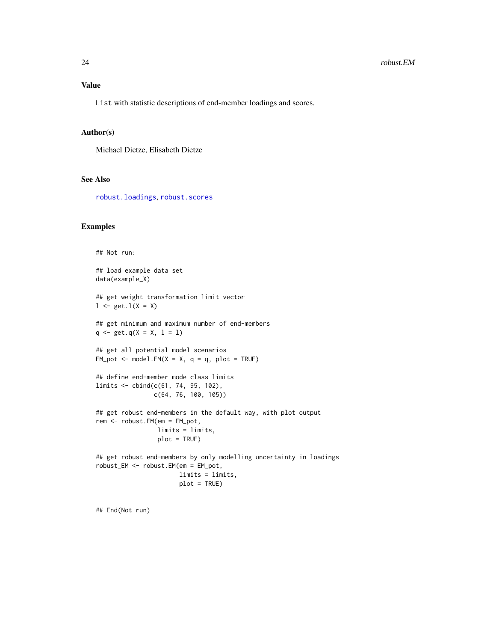<span id="page-23-0"></span>List with statistic descriptions of end-member loadings and scores.

#### Author(s)

Michael Dietze, Elisabeth Dietze

# See Also

[robust.loadings](#page-24-1), [robust.scores](#page-25-1)

# Examples

```
## Not run:
## load example data set
data(example_X)
## get weight transformation limit vector
1 \leftarrow get.1(X = X)## get minimum and maximum number of end-members
q \leftarrow get.q(X = X, 1 = 1)## get all potential model scenarios
EM_pot \leq model.EM(X = X, q = q, plot = TRUE)
## define end-member mode class limits
limits <- cbind(c(61, 74, 95, 102),
                c(64, 76, 100, 105))
## get robust end-members in the default way, with plot output
rem <- robust.EM(em = EM_pot,
                 limits = limits,
                 plot = TRUE)
## get robust end-members by only modelling uncertainty in loadings
robust_EM <- robust.EM(em = EM_pot,
                       limits = limits,
                       plot = TRUE)
```
## End(Not run)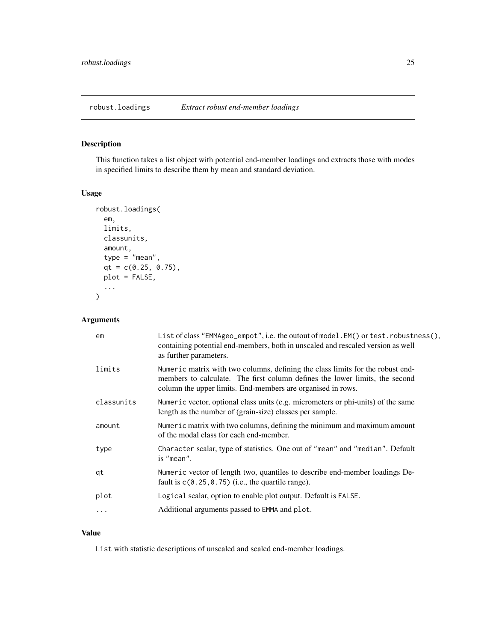<span id="page-24-1"></span><span id="page-24-0"></span>This function takes a list object with potential end-member loadings and extracts those with modes in specified limits to describe them by mean and standard deviation.

# Usage

```
robust.loadings(
  em,
  limits,
 classunits,
  amount,
 type = "mean",
 qt = c(0.25, 0.75),
 plot = FALSE,
  ...
)
```
# Arguments

| em         | List of class "EMMAgeo_empot", i.e. the outout of model.EM() or test.robustness(),<br>containing potential end-members, both in unscaled and rescaled version as well<br>as further parameters.                              |
|------------|------------------------------------------------------------------------------------------------------------------------------------------------------------------------------------------------------------------------------|
| limits     | Numeric matrix with two columns, defining the class limits for the robust end-<br>members to calculate. The first column defines the lower limits, the second<br>column the upper limits. End-members are organised in rows. |
| classunits | Numeric vector, optional class units (e.g. micrometers or phi-units) of the same<br>length as the number of (grain-size) classes per sample.                                                                                 |
| amount     | Numeric matrix with two columns, defining the minimum and maximum amount<br>of the modal class for each end-member.                                                                                                          |
| type       | Character scalar, type of statistics. One out of "mean" and "median". Default<br>is "mean".                                                                                                                                  |
| qt         | Numeric vector of length two, quantiles to describe end-member loadings De-<br>fault is $c(0.25, 0.75)$ (i.e., the quartile range).                                                                                          |
| plot       | Logical scalar, option to enable plot output. Default is FALSE.                                                                                                                                                              |
| $\cdots$   | Additional arguments passed to EMMA and plot.                                                                                                                                                                                |
|            |                                                                                                                                                                                                                              |

# Value

List with statistic descriptions of unscaled and scaled end-member loadings.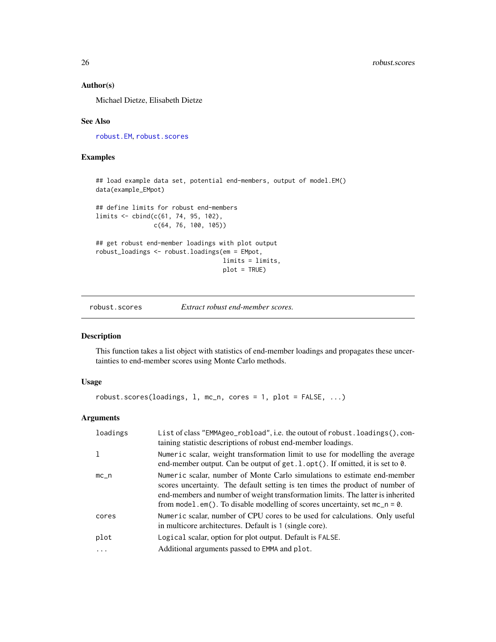# <span id="page-25-0"></span>Author(s)

Michael Dietze, Elisabeth Dietze

#### See Also

[robust.EM](#page-21-1), [robust.scores](#page-25-1)

# Examples

## load example data set, potential end-members, output of model.EM() data(example\_EMpot) ## define limits for robust end-members limits <- cbind(c(61, 74, 95, 102), c(64, 76, 100, 105)) ## get robust end-member loadings with plot output robust\_loadings <- robust.loadings(em = EMpot, limits = limits, plot = TRUE)

<span id="page-25-1"></span>robust.scores *Extract robust end-member scores.*

#### Description

This function takes a list object with statistics of end-member loadings and propagates these uncertainties to end-member scores using Monte Carlo methods.

# Usage

robust.scores(loadings, l, mc\_n, cores = 1, plot = FALSE, ...)

# Arguments

| loadings  | List of class "EMMAgeo_robload", i.e. the outout of robust. loadings(), con-<br>taining statistic descriptions of robust end-member loadings.                                                                                                                                                                                 |
|-----------|-------------------------------------------------------------------------------------------------------------------------------------------------------------------------------------------------------------------------------------------------------------------------------------------------------------------------------|
|           | Numeric scalar, weight transformation limit to use for modelling the average<br>end-member output. Can be output of $get.l. opt()$ . If omitted, it is set to $0$ .                                                                                                                                                           |
| $mc_{-}n$ | Numeric scalar, number of Monte Carlo simulations to estimate end-member<br>scores uncertainty. The default setting is ten times the product of number of<br>end-members and number of weight transformation limits. The latter is inherited<br>from model.em(). To disable modelling of scores uncertainty, set $mc_n = 0$ . |
| cores     | Numeric scalar, number of CPU cores to be used for calculations. Only useful<br>in multicore architectures. Default is 1 (single core).                                                                                                                                                                                       |
| plot      | Logical scalar, option for plot output. Default is FALSE.                                                                                                                                                                                                                                                                     |
| .         | Additional arguments passed to EMMA and plot.                                                                                                                                                                                                                                                                                 |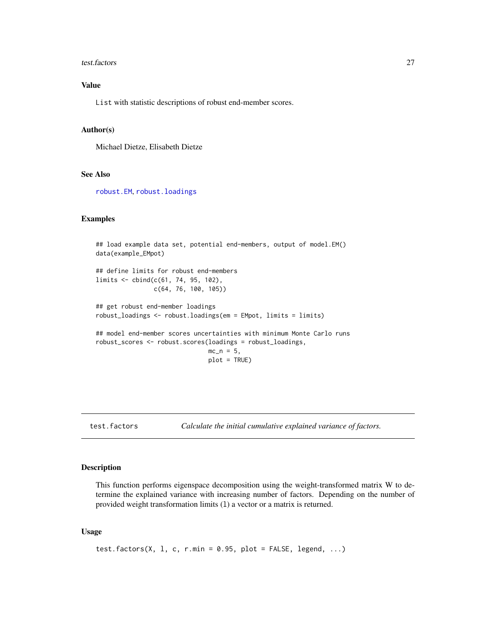#### <span id="page-26-0"></span>test.factors 27

# Value

List with statistic descriptions of robust end-member scores.

#### Author(s)

Michael Dietze, Elisabeth Dietze

#### See Also

[robust.EM](#page-21-1), [robust.loadings](#page-24-1)

# Examples

```
## load example data set, potential end-members, output of model.EM()
data(example_EMpot)
## define limits for robust end-members
limits <- cbind(c(61, 74, 95, 102),
               c(64, 76, 100, 105))
## get robust end-member loadings
robust_loadings <- robust.loadings(em = EMpot, limits = limits)
## model end-member scores uncertainties with minimum Monte Carlo runs
robust_scores <- robust.scores(loadings = robust_loadings,
                               mc_n = 5,
                               plot = TRUE)
```

```
test.factors Calculate the initial cumulative explained variance of factors.
```
# Description

This function performs eigenspace decomposition using the weight-transformed matrix W to determine the explained variance with increasing number of factors. Depending on the number of provided weight transformation limits (l) a vector or a matrix is returned.

#### Usage

```
test.factors(X, 1, c, r.min = 0.95, plot = FALSE, legend, ...)
```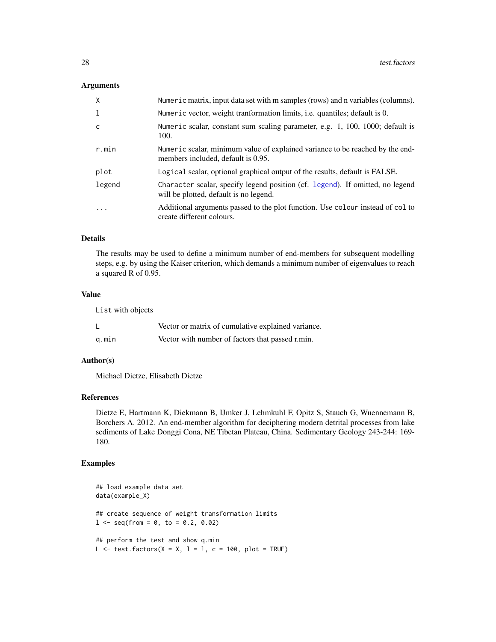#### <span id="page-27-0"></span>Arguments

| $\mathsf{X}$ | Numeric matrix, input data set with m samples (rows) and n variables (columns).                                         |
|--------------|-------------------------------------------------------------------------------------------------------------------------|
| -1           | Numeric vector, weight tranformation limits, <i>i.e.</i> quantiles; default is 0.                                       |
| C            | Numeric scalar, constant sum scaling parameter, e.g. 1, 100, 1000; default is<br>100.                                   |
| r.min        | Numeric scalar, minimum value of explained variance to be reached by the end-<br>members included, default is 0.95.     |
| plot         | Logical scalar, optional graphical output of the results, default is FALSE.                                             |
| legend       | Character scalar, specify legend position (cf. legend). If omitted, no legend<br>will be plotted, default is no legend. |
| $\ddotsc$    | Additional arguments passed to the plot function. Use colour instead of col to<br>create different colours.             |

# Details

The results may be used to define a minimum number of end-members for subsequent modelling steps, e.g. by using the Kaiser criterion, which demands a minimum number of eigenvalues to reach a squared R of 0.95.

### Value

List with objects

|       | Vector or matrix of cumulative explained variance. |
|-------|----------------------------------------------------|
| q.min | Vector with number of factors that passed r.min.   |

# Author(s)

Michael Dietze, Elisabeth Dietze

# References

Dietze E, Hartmann K, Diekmann B, IJmker J, Lehmkuhl F, Opitz S, Stauch G, Wuennemann B, Borchers A. 2012. An end-member algorithm for deciphering modern detrital processes from lake sediments of Lake Donggi Cona, NE Tibetan Plateau, China. Sedimentary Geology 243-244: 169- 180.

```
## load example data set
data(example_X)
## create sequence of weight transformation limits
1 \leq -\text{seq}(\text{from} = 0, \text{ to } = 0.2, 0.02)## perform the test and show q.min
L \le test.factors(X = X, 1 = 1, c = 100, plot = TRUE)
```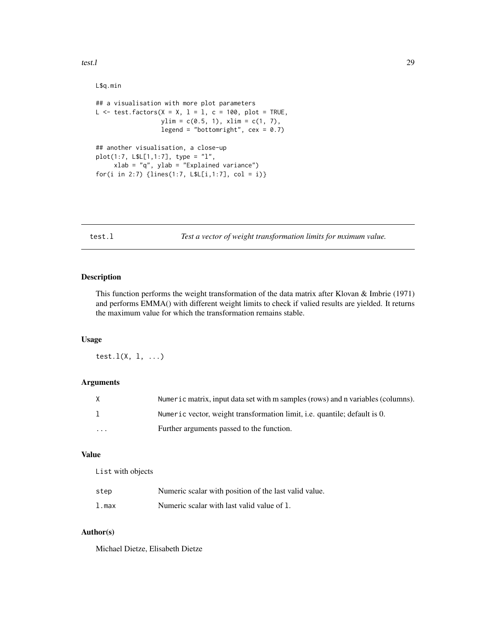<span id="page-28-0"></span>test.l 29

```
L$q.min
## a visualisation with more plot parameters
L \le test.factors(X = X, 1 = 1, c = 100, plot = TRUE,
                  ylim = c(0.5, 1), xlim = c(1, 7),legend = "bottomright", cex = 0.7)
## another visualisation, a close-up
plot(1:7, L$L[1,1:7], type = "l",
     xlab = "q", ylab = "Explained variance")
for(i in 2:7) {lines(1:7, L$L[i,1:7], col = i)}
```
<span id="page-28-1"></span>test.l *Test a vector of weight transformation limits for mximum value.*

# Description

This function performs the weight transformation of the data matrix after Klovan & Imbrie (1971) and performs EMMA() with different weight limits to check if valied results are yielded. It returns the maximum value for which the transformation remains stable.

#### Usage

test.l(X, l, ...)

# Arguments

| X        | Numeric matrix, input data set with m samples (rows) and n variables (columns).  |
|----------|----------------------------------------------------------------------------------|
|          | Numeric vector, weight transformation limit, <i>i.e.</i> quantile; default is 0. |
| $\cdots$ | Further arguments passed to the function.                                        |

# Value

List with objects

| step  | Numeric scalar with position of the last valid value. |
|-------|-------------------------------------------------------|
| 1.max | Numeric scalar with last valid value of 1.            |

# Author(s)

Michael Dietze, Elisabeth Dietze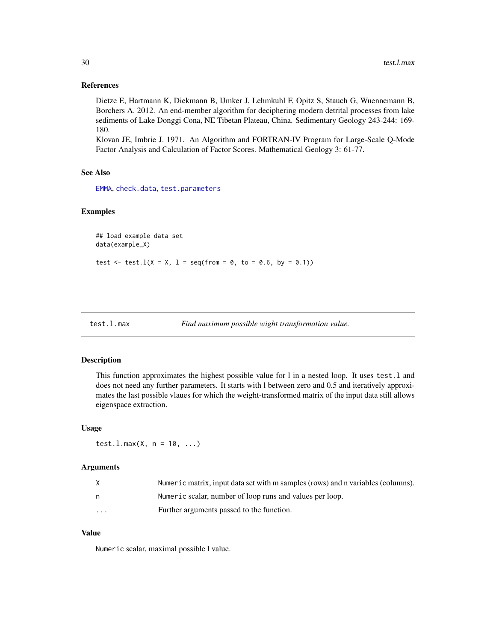#### <span id="page-29-0"></span>References

Dietze E, Hartmann K, Diekmann B, IJmker J, Lehmkuhl F, Opitz S, Stauch G, Wuennemann B, Borchers A. 2012. An end-member algorithm for deciphering modern detrital processes from lake sediments of Lake Donggi Cona, NE Tibetan Plateau, China. Sedimentary Geology 243-244: 169- 180.

Klovan JE, Imbrie J. 1971. An Algorithm and FORTRAN-IV Program for Large-Scale Q-Mode Factor Analysis and Calculation of Factor Scores. Mathematical Geology 3: 61-77.

#### See Also

[EMMA](#page-6-1), [check.data](#page-2-1), [test.parameters](#page-30-1)

#### Examples

```
## load example data set
data(example_X)
test \le test. l(X = X, l = seq(from = 0, to = 0.6, by = 0.1))
```
<span id="page-29-1"></span>

|  | test.l.max |  |
|--|------------|--|
|--|------------|--|

| test.l.max | Find maximum possible wight transformation value. |  |  |  |  |
|------------|---------------------------------------------------|--|--|--|--|
|------------|---------------------------------------------------|--|--|--|--|

#### Description

This function approximates the highest possible value for l in a nested loop. It uses test.l and does not need any further parameters. It starts with l between zero and 0.5 and iteratively approximates the last possible vlaues for which the weight-transformed matrix of the input data still allows eigenspace extraction.

#### Usage

test.l.max(X,  $n = 10, ...$ )

#### Arguments

| X        | Numeric matrix, input data set with m samples (rows) and n variables (columns). |
|----------|---------------------------------------------------------------------------------|
| n        | Numeric scalar, number of loop runs and values per loop.                        |
| $\cdots$ | Further arguments passed to the function.                                       |

#### Value

Numeric scalar, maximal possible l value.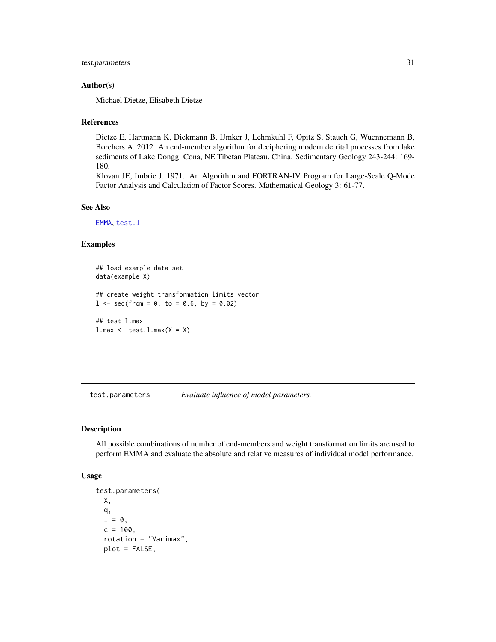```
test.parameters 31
```
#### Author(s)

Michael Dietze, Elisabeth Dietze

#### References

Dietze E, Hartmann K, Diekmann B, IJmker J, Lehmkuhl F, Opitz S, Stauch G, Wuennemann B, Borchers A. 2012. An end-member algorithm for deciphering modern detrital processes from lake sediments of Lake Donggi Cona, NE Tibetan Plateau, China. Sedimentary Geology 243-244: 169- 180.

Klovan JE, Imbrie J. 1971. An Algorithm and FORTRAN-IV Program for Large-Scale Q-Mode Factor Analysis and Calculation of Factor Scores. Mathematical Geology 3: 61-77.

#### See Also

[EMMA](#page-6-1), [test.l](#page-28-1)

# Examples

```
## load example data set
data(example_X)
## create weight transformation limits vector
1 \leq - seq(from = 0, to = 0.6, by = 0.02)
## test l.max
l.max \leftarrow test.l.max(X = X)
```
<span id="page-30-1"></span>test.parameters *Evaluate influence of model parameters.*

#### Description

All possible combinations of number of end-members and weight transformation limits are used to perform EMMA and evaluate the absolute and relative measures of individual model performance.

#### Usage

```
test.parameters(
  X,
 q,
 1 = 0,
 c = 100,
  rotation = "Varimax",
 plot = FALSE,
```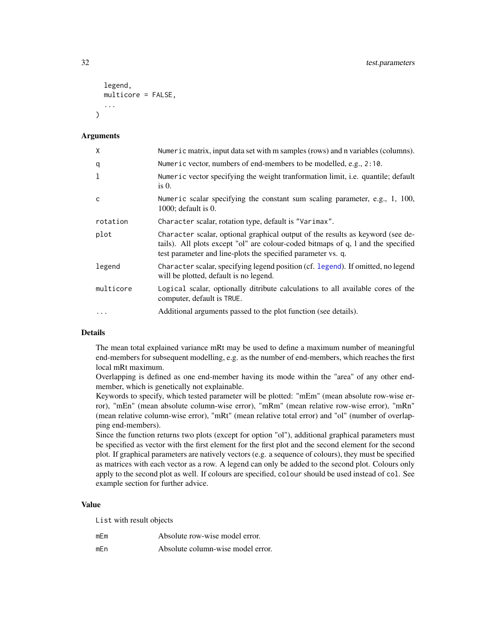```
legend,
  multicore = FALSE,
  ...
\lambda
```
#### Arguments

| X            | Numeric matrix, input data set with m samples (rows) and n variables (columns).                                                                                                                                                    |
|--------------|------------------------------------------------------------------------------------------------------------------------------------------------------------------------------------------------------------------------------------|
| q            | Numeric vector, numbers of end-members to be modelled, e.g., 2:10.                                                                                                                                                                 |
| 1            | Numeric vector specifying the weight tranformation limit, <i>i.e.</i> quantile; default<br>is $0$ .                                                                                                                                |
| $\mathsf{C}$ | Numeric scalar specifying the constant sum scaling parameter, e.g., 1, 100,<br>$1000$ ; default is 0.                                                                                                                              |
| rotation     | Character scalar, rotation type, default is "Varimax".                                                                                                                                                                             |
| plot         | Character scalar, optional graphical output of the results as keyword (see de-<br>tails). All plots except "ol" are colour-coded bitmaps of q, 1 and the specified<br>test parameter and line-plots the specified parameter vs. q. |
| legend       | Character scalar, specifying legend position (cf. legend). If omitted, no legend<br>will be plotted, default is no legend.                                                                                                         |
| multicore    | Logical scalar, optionally ditribute calculations to all available cores of the<br>computer, default is TRUE.                                                                                                                      |
| $\ddots$     | Additional arguments passed to the plot function (see details).                                                                                                                                                                    |

# Details

The mean total explained variance mRt may be used to define a maximum number of meaningful end-members for subsequent modelling, e.g. as the number of end-members, which reaches the first local mRt maximum.

Overlapping is defined as one end-member having its mode within the "area" of any other endmember, which is genetically not explainable.

Keywords to specify, which tested parameter will be plotted: "mEm" (mean absolute row-wise error), "mEn" (mean absolute column-wise error), "mRm" (mean relative row-wise error), "mRn" (mean relative column-wise error), "mRt" (mean relative total error) and "ol" (number of overlapping end-members).

Since the function returns two plots (except for option "ol"), additional graphical parameters must be specified as vector with the first element for the first plot and the second element for the second plot. If graphical parameters are natively vectors (e.g. a sequence of colours), they must be specified as matrices with each vector as a row. A legend can only be added to the second plot. Colours only apply to the second plot as well. If colours are specified, colour should be used instead of col. See example section for further advice.

#### Value

List with result objects

| mEm | Absolute row-wise model error. |
|-----|--------------------------------|
|     |                                |

mEn Absolute column-wise model error.

<span id="page-31-0"></span>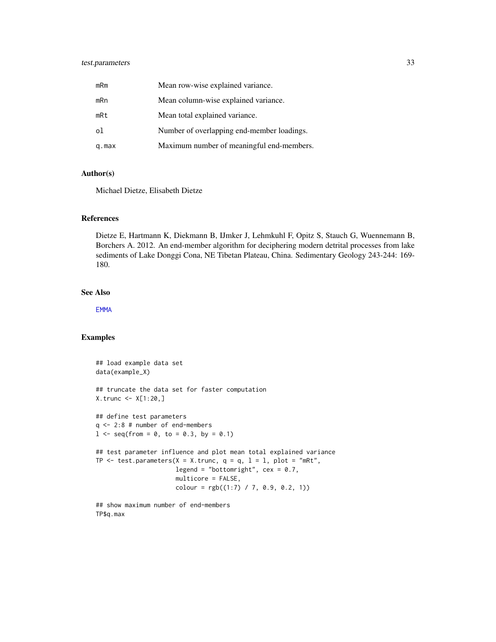# <span id="page-32-0"></span>test.parameters 33

| mRm   | Mean row-wise explained variance.          |
|-------|--------------------------------------------|
| mRn   | Mean column-wise explained variance.       |
| mRt   | Mean total explained variance.             |
| οl    | Number of overlapping end-member loadings. |
| q.max | Maximum number of meaningful end-members.  |

# Author(s)

Michael Dietze, Elisabeth Dietze

# References

Dietze E, Hartmann K, Diekmann B, IJmker J, Lehmkuhl F, Opitz S, Stauch G, Wuennemann B, Borchers A. 2012. An end-member algorithm for deciphering modern detrital processes from lake sediments of Lake Donggi Cona, NE Tibetan Plateau, China. Sedimentary Geology 243-244: 169- 180.

#### See Also

[EMMA](#page-6-1)

#### Examples

```
## load example data set
data(example_X)
## truncate the data set for faster computation
X.trunc <- X[1:20,]
## define test parameters
q <- 2:8 # number of end-members
1 \le - seq(from = 0, to = 0.3, by = 0.1)
## test parameter influence and plot mean total explained variance
TP \le test.parameters(X = X.trunc, q = q, 1 = 1, plot = "mRt",
                      legend = "bottomright", cex = 0.7,
                      multicore = FALSE,
                      colour = rgb((1:7) / 7, 0.9, 0.2, 1))
```
## show maximum number of end-members TP\$q.max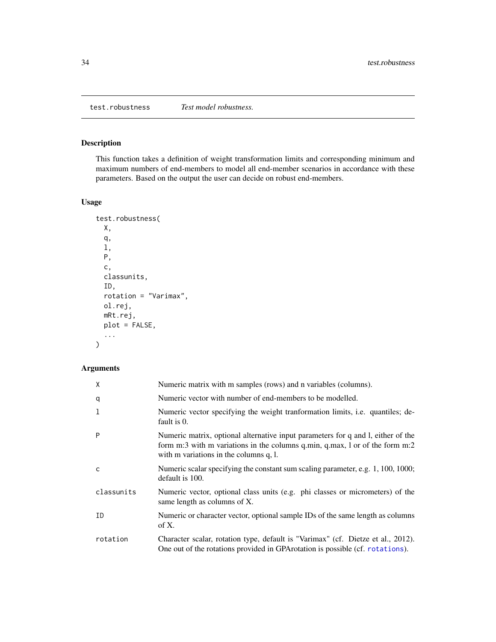<span id="page-33-1"></span><span id="page-33-0"></span>test.robustness *Test model robustness.*

# Description

This function takes a definition of weight transformation limits and corresponding minimum and maximum numbers of end-members to model all end-member scenarios in accordance with these parameters. Based on the output the user can decide on robust end-members.

# Usage

```
test.robustness(
 X,
 q,
 l,
 P,
 c,
 classunits,
 ID,
 rotation = "Varimax",
 ol.rej,
 mRt.rej,
 plot = FALSE,
  ...
)
```
# Arguments

| X            | Numeric matrix with m samples (rows) and n variables (columns).                                                                                                                                            |
|--------------|------------------------------------------------------------------------------------------------------------------------------------------------------------------------------------------------------------|
| q            | Numeric vector with number of end-members to be modelled.                                                                                                                                                  |
| 1            | Numeric vector specifying the weight tranformation limits, i.e. quantiles; de-<br>fault is 0.                                                                                                              |
| P            | Numeric matrix, optional alternative input parameters for q and l, either of the<br>form m:3 with m variations in the columns q.min, q.max, l or of the form m:2<br>with m variations in the columns q, l. |
| $\mathsf{C}$ | Numeric scalar specifying the constant sum scaling parameter, e.g. 1, 100, 1000;<br>default is 100.                                                                                                        |
| classunits   | Numeric vector, optional class units (e.g. phi classes or micrometers) of the<br>same length as columns of X.                                                                                              |
| ID           | Numeric or character vector, optional sample IDs of the same length as columns<br>of X.                                                                                                                    |
| rotation     | Character scalar, rotation type, default is "Varimax" (cf. Dietze et al., 2012).<br>One out of the rotations provided in GPArotation is possible (cf. rotations).                                          |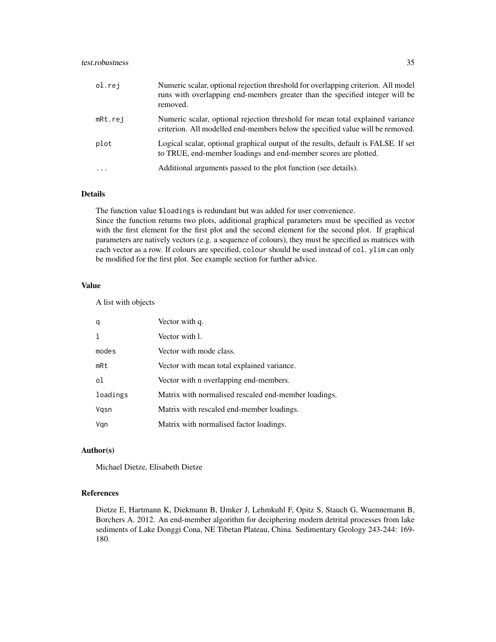# test.robustness 35

| ol.rej     | Numeric scalar, optional rejection threshold for overlapping criterion. All model<br>runs with overlapping end-members greater than the specified integer will be<br>removed. |
|------------|-------------------------------------------------------------------------------------------------------------------------------------------------------------------------------|
| mRt.rej    | Numeric scalar, optional rejection threshold for mean total explained variance<br>criterion. All modelled end-members below the specified value will be removed.              |
| plot       | Logical scalar, optional graphical output of the results, default is FALSE. If set<br>to TRUE, end-member loadings and end-member scores are plotted.                         |
| $\ddots$ . | Additional arguments passed to the plot function (see details).                                                                                                               |

# Details

The function value \$loadings is redundant but was added for user convenience. Since the function returns two plots, additional graphical parameters must be specified as vector with the first element for the first plot and the second element for the second plot. If graphical parameters are natively vectors (e.g. a sequence of colours), they must be specified as matrices with each vector as a row. If colours are specified, colour should be used instead of col. ylim can only be modified for the first plot. See example section for further advice.

# Value

A list with objects

| q        | Vector with q.                                       |
|----------|------------------------------------------------------|
| 1        | Vector with 1.                                       |
| modes    | Vector with mode class.                              |
| mRt      | Vector with mean total explained variance.           |
| οl       | Vector with n overlapping end-members.               |
| loadings | Matrix with normalised rescaled end-member loadings. |
| Vgsn     | Matrix with rescaled end-member loadings.            |
| Vgn      | Matrix with normalised factor loadings.              |

# Author(s)

Michael Dietze, Elisabeth Dietze

# References

Dietze E, Hartmann K, Diekmann B, IJmker J, Lehmkuhl F, Opitz S, Stauch G, Wuennemann B, Borchers A. 2012. An end-member algorithm for deciphering modern detrital processes from lake sediments of Lake Donggi Cona, NE Tibetan Plateau, China. Sedimentary Geology 243-244: 169- 180.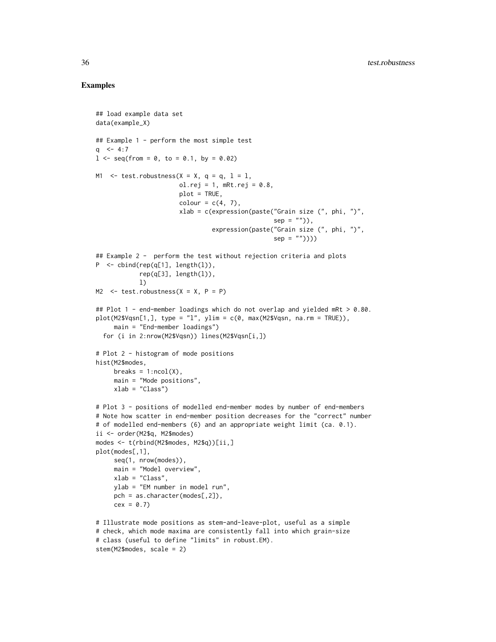```
## load example data set
data(example_X)
## Example 1 - perform the most simple test
q <-4:71 \le - seq(from = 0, to = 0.1, by = 0.02)
M1 \le test.robustness(X = X, q = q, 1 = 1,
                       ol.rej = 1, mRt.rej = 0.8,
                       plot = TRUE,
                       colour = c(4, 7),
                       xlab = c(expression(paste("Grain size (", phi, ")",
                                                 sep = ""),
                                expression(paste("Grain size (", phi, ")",
                                                 sep = ""))))
## Example 2 - perform the test without rejection criteria and plots
P \le - cbind(rep(q[1], length(l)),
            rep(q[3], length(l)),
            l)
M2 \le test.robustness(X = X, P = P)
## Plot 1 - end-member loadings which do not overlap and yielded mRt > 0.80.
plot(M2$Vqsn[1,], type = "1", ylim = c(0, max(M2$Vqsn, na.rm = TRUE)),main = "End-member loadings")
  for (i in 2:nrow(M2$Vqsn)) lines(M2$Vqsn[i,])
# Plot 2 - histogram of mode positions
hist(M2$modes,
     breaks = 1:ncol(X),
     main = "Mode positions",
     xlab = "Class")# Plot 3 - positions of modelled end-member modes by number of end-members
# Note how scatter in end-member position decreases for the "correct" number
# of modelled end-members (6) and an appropriate weight limit (ca. 0.1).
ii <- order(M2$q, M2$modes)
modes <- t(rbind(M2$modes, M2$q))[ii,]
plot(modes[,1],
     seq(1, nrow(modes)),
     main = "Model overview",
    xlab = "Class",
     ylab = "EM number in model run",
     pch = as.character(modes[,2]),
     cex = 0.7# Illustrate mode positions as stem-and-leave-plot, useful as a simple
# check, which mode maxima are consistently fall into which grain-size
# class (useful to define "limits" in robust.EM).
stem(M2$modes, scale = 2)
```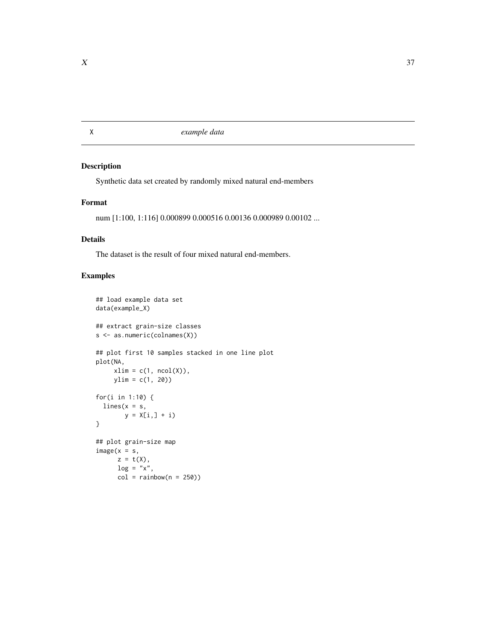<span id="page-36-0"></span>X *example data*

# Description

Synthetic data set created by randomly mixed natural end-members

#### Format

num [1:100, 1:116] 0.000899 0.000516 0.00136 0.000989 0.00102 ...

# Details

The dataset is the result of four mixed natural end-members.

```
## load example data set
data(example_X)
## extract grain-size classes
s <- as.numeric(colnames(X))
## plot first 10 samples stacked in one line plot
plot(NA,
     xlim = c(1, ncol(X)),ylim = c(1, 20))
for(i in 1:10) {
  lines(x = s,y = X[i, j + i)}
## plot grain-size map
image(x = s,z = t(X),
     log = "x",col = rainbow(n = 250)
```